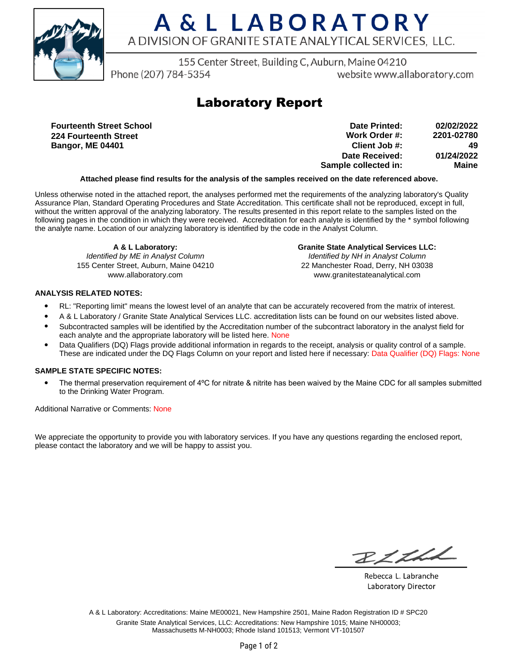

# A & L LABORATORY A DIVISION OF GRANITE STATE ANALYTICAL SERVICES. LLC.

155 Center Street, Building C, Auburn, Maine 04210

Phone (207) 784-5354

website www.allaboratory.com

### **Laboratory Report**

**Fourteenth Street School 224 Fourteenth Street Bangor, ME 04401**

| 02/02/2022 | Date Printed:        |
|------------|----------------------|
| 2201-02780 | Work Order #:        |
| 49         | Client Job #:        |
| 01/24/2022 | Date Received:       |
| Maine      | Sample collected in: |

#### **Attached please find results for the analysis of the samples received on the date referenced above.**

Unless otherwise noted in the attached report, the analyses performed met the requirements of the analyzing laboratory's Quality Assurance Plan, Standard Operating Procedures and State Accreditation. This certificate shall not be reproduced, except in full, without the written approval of the analyzing laboratory. The results presented in this report relate to the samples listed on the following pages in the condition in which they were received. Accreditation for each analyte is identified by the \* symbol following the analyte name. Location of our analyzing laboratory is identified by the code in the Analyst Column.

**A & L Laboratory:** Identified by ME in Analyst Column 155 Center Street, Auburn, Maine 04210 www.allaboratory.com

**Granite State Analytical Services LLC:** Identified by NH in Analyst Column 22 Manchester Road, Derry, NH 03038 www.granitestateanalytical.com

#### **ANALYSIS RELATED NOTES:**

- RL: "Reporting limit" means the lowest level of an analyte that can be accurately recovered from the matrix of interest.
- A & L Laboratory / Granite State Analytical Services LLC. accreditation lists can be found on our websites listed above.
- Subcontracted samples will be identified by the Accreditation number of the subcontract laboratory in the analyst field for each analyte and the appropriate laboratory will be listed here. None
- Data Qualifiers (DQ) Flags provide additional information in regards to the receipt, analysis or quality control of a sample. These are indicated under the DQ Flags Column on your report and listed here if necessary: Data Qualifier (DQ) Flags: None

#### **SAMPLE STATE SPECIFIC NOTES:**

• The thermal preservation requirement of 4°C for nitrate & nitrite has been waived by the Maine CDC for all samples submitted to the Drinking Water Program.

Additional Narrative or Comments: None

We appreciate the opportunity to provide you with laboratory services. If you have any questions regarding the enclosed report, please contact the laboratory and we will be happy to assist you.

RICH

Rebecca L. Labranche Laboratory Director

A & L Laboratory: Accreditations: Maine ME00021, New Hampshire 2501, Maine Radon Registration ID # SPC20 Granite State Analytical Services, LLC: Accreditations: New Hampshire 1015; Maine NH00003; Massachusetts M-NH0003; Rhode Island 101513; Vermont VT-101507